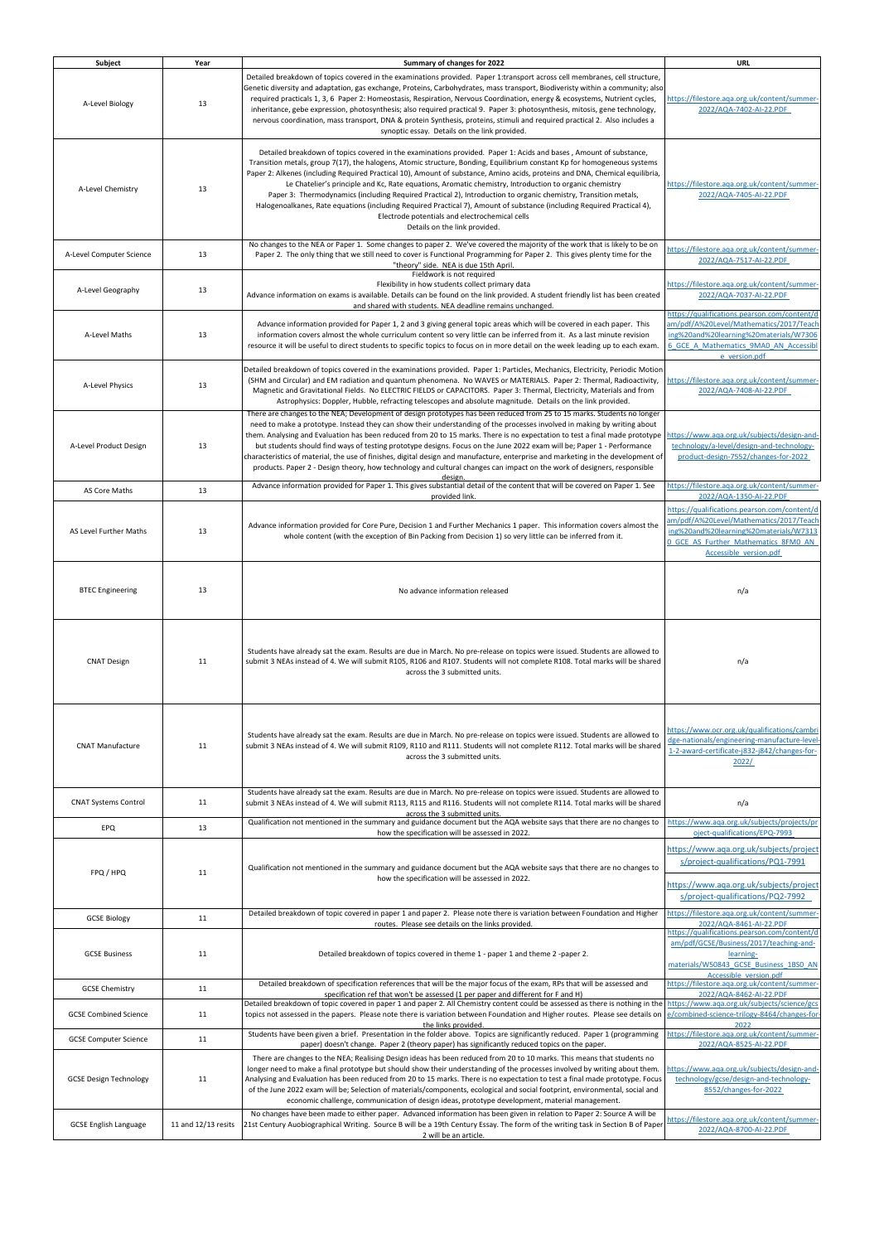| Subject                       | Year                | Summary of changes for 2022                                                                                                                                                                                                                                                                                                                                                                                                                                                                                                                                                                                                                                                                                                                                                                                              | <b>URL</b>                                                                                                                                                                                          |
|-------------------------------|---------------------|--------------------------------------------------------------------------------------------------------------------------------------------------------------------------------------------------------------------------------------------------------------------------------------------------------------------------------------------------------------------------------------------------------------------------------------------------------------------------------------------------------------------------------------------------------------------------------------------------------------------------------------------------------------------------------------------------------------------------------------------------------------------------------------------------------------------------|-----------------------------------------------------------------------------------------------------------------------------------------------------------------------------------------------------|
| A-Level Biology               | 13                  | Detailed breakdown of topics covered in the examinations provided. Paper 1:transport across cell membranes, cell structure,<br>Genetic diversity and adaptation, gas exchange, Proteins, Carbohydrates, mass transport, Biodiveristy within a community; also<br>required practicals 1, 3, 6 Paper 2: Homeostasis, Respiration, Nervous Coordination, energy & ecosystems, Nutrient cycles,<br>inheritance, gebe expression, photosynthesis; also required practical 9. Paper 3: photosynthesis, mitosis, gene technology,<br>nervous coordination, mass transport, DNA & protein Synthesis, proteins, stimuli and required practical 2. Also includes a<br>synoptic essay. Details on the link provided.                                                                                                                | https://filestore.aga.org.uk/content/summer-<br>2022/AQA-7402-AI-22.PDF                                                                                                                             |
| A-Level Chemistry             | 13                  | Detailed breakdown of topics covered in the examinations provided. Paper 1: Acids and bases, Amount of substance,<br>Transition metals, group 7(17), the halogens, Atomic structure, Bonding, Equilibrium constant Kp for homogeneous systems<br>Paper 2: Alkenes (including Required Practical 10), Amount of substance, Amino acids, proteins and DNA, Chemical equilibria,<br>Le Chatelier's principle and Kc, Rate equations, Aromatic chemistry, Introduction to organic chemistry<br>Paper 3: Thermodynamics (including Required Practical 2), Introduction to organic chemistry, Transition metals,<br>Halogenoalkanes, Rate equations (including Required Practical 7), Amount of substance (including Required Practical 4),<br>Electrode potentials and electrochemical cells<br>Details on the link provided. | https://filestore.aqa.org.uk/content/summer-<br>2022/AQA-7405-AI-22.PDF                                                                                                                             |
| A-Level Computer Science      | 13                  | No changes to the NEA or Paper 1. Some changes to paper 2. We've covered the majority of the work that is likely to be on<br>Paper 2. The only thing that we still need to cover is Functional Programming for Paper 2. This gives plenty time for the<br>"theory" side. NEA is due 15th April.                                                                                                                                                                                                                                                                                                                                                                                                                                                                                                                          | https://filestore.aga.org.uk/content/summer-<br>2022/AQA-7517-AI-22.PDF                                                                                                                             |
| A-Level Geography             | 13                  | Fieldwork is not required<br>Flexibility in how students collect primary data<br>Advance information on exams is available. Details can be found on the link provided. A student friendly list has been created<br>and shared with students. NEA deadline remains unchanged.                                                                                                                                                                                                                                                                                                                                                                                                                                                                                                                                             | https://filestore.aqa.org.uk/content/summer-<br>2022/AQA-7037-AI-22.PDF                                                                                                                             |
| A-Level Maths                 | 13                  | Advance information provided for Paper 1, 2 and 3 giving general topic areas which will be covered in each paper. This<br>information covers almost the whole curriculum content so very little can be inferred from it. As a last minute revision<br>resource it will be useful to direct students to specific topics to focus on in more detail on the week leading up to each exam.                                                                                                                                                                                                                                                                                                                                                                                                                                   | https://qualifications.pearson.com/content/d<br>am/pdf/A%20Level/Mathematics/2017/Teach<br>ing%20and%20learning%20materials/W7306<br>6 GCE A Mathematics 9MA0 AN Accessibl<br>e version.pdf         |
| A-Level Physics               | 13                  | Detailed breakdown of topics covered in the examinations provided. Paper 1: Particles, Mechanics, Electricity, Periodic Motion<br>(SHM and Circular) and EM radiation and quantum phenomena. No WAVES or MATERIALS. Paper 2: Thermal, Radioactivity,<br>Magnetic and Gravitational Fields. No ELECTRIC FIELDS or CAPACITORS. Paper 3: Thermal, Electricity, Materials and from<br>Astrophysics: Doppler, Hubble, refracting telescopes and absolute magnitude. Details on the link provided.                                                                                                                                                                                                                                                                                                                             | https://filestore.aga.org.uk/content/summer-<br>2022/AQA-7408-AI-22.PDF                                                                                                                             |
| A-Level Product Design        | 13                  | There are changes to the NEA; Development of design prototypes has been reduced from 25 to 15 marks. Students no longer<br>need to make a prototype. Instead they can show their understanding of the processes involved in making by writing about<br>them. Analysing and Evaluation has been reduced from 20 to 15 marks. There is no expectation to test a final made prototype<br>but students should find ways of testing prototype designs. Focus on the June 2022 exam will be; Paper 1 - Performance<br>characteristics of material, the use of finishes, digital design and manufacture, enterprise and marketing in the development of<br>products. Paper 2 - Design theory, how technology and cultural changes can impact on the work of designers, responsible<br>design                                    | https://www.aqa.org.uk/subjects/design-and-<br>technology/a-level/design-and-technology-<br>product-design-7552/changes-for-2022                                                                    |
| AS Core Maths                 | 13                  | Advance information provided for Paper 1. This gives substantial detail of the content that will be covered on Paper 1. See<br>provided link.                                                                                                                                                                                                                                                                                                                                                                                                                                                                                                                                                                                                                                                                            | https://filestore.aga.org.uk/content/summer-<br>2022/AQA-1350-AI-22.PDF                                                                                                                             |
| AS Level Further Maths        | 13                  | Advance information provided for Core Pure, Decision 1 and Further Mechanics 1 paper. This information covers almost the<br>whole content (with the exception of Bin Packing from Decision 1) so very little can be inferred from it.                                                                                                                                                                                                                                                                                                                                                                                                                                                                                                                                                                                    | https://qualifications.pearson.com/content/d<br>am/pdf/A%20Level/Mathematics/2017/Teach<br>ing%20and%20learning%20materials/W7313<br>0 GCE AS Further Mathematics 8FM0 AN<br>Accessible version.pdf |
| <b>BTEC Engineering</b>       | 13                  | No advance information released                                                                                                                                                                                                                                                                                                                                                                                                                                                                                                                                                                                                                                                                                                                                                                                          | n/a                                                                                                                                                                                                 |
| <b>CNAT Design</b>            | 11                  | Students have already sat the exam. Results are due in March. No pre-release on topics were issued. Students are allowed to<br>submit 3 NEAs instead of 4. We will submit R105, R106 and R107. Students will not complete R108. Total marks will be shared<br>across the 3 submitted units.                                                                                                                                                                                                                                                                                                                                                                                                                                                                                                                              | n/a                                                                                                                                                                                                 |
| <b>CNAT Manufacture</b>       | 11                  | Students have already sat the exam. Results are due in March. No pre-release on topics were issued. Students are allowed to<br>submit 3 NEAs instead of 4. We will submit R109, R110 and R111. Students will not complete R112. Total marks will be shared<br>across the 3 submitted units.                                                                                                                                                                                                                                                                                                                                                                                                                                                                                                                              | https://www.ocr.org.uk/qualifications/cambri<br>dge-nationals/engineering-manufacture-level<br>1-2-award-certificate-j832-j842/changes-for-<br>2022/                                                |
| <b>CNAT Systems Control</b>   | 11                  | Students have already sat the exam. Results are due in March. No pre-release on topics were issued. Students are allowed to<br>submit 3 NEAs instead of 4. We will submit R113, R115 and R116. Students will not complete R114. Total marks will be shared<br>across the 3 submitted units.                                                                                                                                                                                                                                                                                                                                                                                                                                                                                                                              | n/a                                                                                                                                                                                                 |
| EPQ                           | 13                  | Qualification not mentioned in the summary and guidance document but the AQA website says that there are no changes to<br>how the specification will be assessed in 2022.                                                                                                                                                                                                                                                                                                                                                                                                                                                                                                                                                                                                                                                | https://www.aqa.org.uk/subjects/projects/pr<br>oject-qualifications/EPQ-7993                                                                                                                        |
| FPQ/HPQ                       | 11                  | Qualification not mentioned in the summary and guidance document but the AQA website says that there are no changes to<br>how the specification will be assessed in 2022.                                                                                                                                                                                                                                                                                                                                                                                                                                                                                                                                                                                                                                                | https://www.aga.org.uk/subjects/project<br>s/project-qualifications/PQ1-7991<br>https://www.aga.org.uk/subjects/project                                                                             |
|                               |                     | Detailed breakdown of topic covered in paper 1 and paper 2. Please note there is variation between Foundation and Higher                                                                                                                                                                                                                                                                                                                                                                                                                                                                                                                                                                                                                                                                                                 | s/project-qualifications/PQ2-7992<br>https://filestore.aga.org.uk/content/summer-                                                                                                                   |
| <b>GCSE Biology</b>           | 11                  | routes. Please see details on the links provided.                                                                                                                                                                                                                                                                                                                                                                                                                                                                                                                                                                                                                                                                                                                                                                        | 2022/AQA-8461-AI-22.PDF<br>https://qualifications.pearson.com/content/d                                                                                                                             |
| <b>GCSE Business</b>          | 11                  | Detailed breakdown of topics covered in theme 1 - paper 1 and theme 2 -paper 2.                                                                                                                                                                                                                                                                                                                                                                                                                                                                                                                                                                                                                                                                                                                                          | am/pdf/GCSE/Business/2017/teaching-and-<br>learning-<br>materials/W50843 GCSE Business 1BS0 AN<br>Accessible version.pdf                                                                            |
| <b>GCSE Chemistry</b>         | 11                  | Detailed breakdown of specification references that will be the major focus of the exam, RPs that will be assessed and<br>specification ref that won't be assessed (1 per paper and different for F and H)                                                                                                                                                                                                                                                                                                                                                                                                                                                                                                                                                                                                               | https://filestore.aqa.org.uk/content/summer-<br>2022/AQA-8462-AI-22.PDF                                                                                                                             |
| <b>GCSE Combined Science</b>  | 11                  | Detailed breakdown of topic covered in paper 1 and paper 2. All Chemistry content could be assessed as there is nothing in the<br>topics not assessed in the papers. Please note there is variation between Foundation and Higher routes. Please see details on<br>the links provided.                                                                                                                                                                                                                                                                                                                                                                                                                                                                                                                                   | https://www.aqa.org.uk/subjects/science/gcs<br>e/combined-science-trilogy-8464/changes-for<br>2022                                                                                                  |
| <b>GCSE Computer Science</b>  | 11                  | Students have been given a brief. Presentation in the folder above. Topics are significantly reduced. Paper 1 (programming<br>paper) doesn't change. Paper 2 (theory paper) has significantly reduced topics on the paper.                                                                                                                                                                                                                                                                                                                                                                                                                                                                                                                                                                                               | https://filestore.aqa.org.uk/content/summer-<br>2022/AQA-8525-AI-22.PDF                                                                                                                             |
| <b>GCSE Design Technology</b> | 11                  | There are changes to the NEA; Realising Design ideas has been reduced from 20 to 10 marks. This means that students no<br>longer need to make a final prototype but should show their understanding of the processes involved by writing about them.<br>Analysing and Evaluation has been reduced from 20 to 15 marks. There is no expectation to test a final made prototype. Focus<br>of the June 2022 exam will be; Selection of materials/components, ecological and social footprint, environmental, social and<br>economic challenge, communication of design ideas, prototype development, material management.                                                                                                                                                                                                   | https://www.aqa.org.uk/subjects/design-and-<br>technology/gcse/design-and-technology-<br>8552/changes-for-2022                                                                                      |
| <b>GCSE English Language</b>  | 11 and 12/13 resits | No changes have been made to either paper. Advanced information has been given in relation to Paper 2: Source A will be<br>21st Century Auobiographical Writing. Source B will be a 19th Century Essay. The form of the writing task in Section B of Paper<br>2 will be an article.                                                                                                                                                                                                                                                                                                                                                                                                                                                                                                                                      | https://filestore.aqa.org.uk/content/summer-<br>2022/AQA-8700-AI-22.PDF                                                                                                                             |